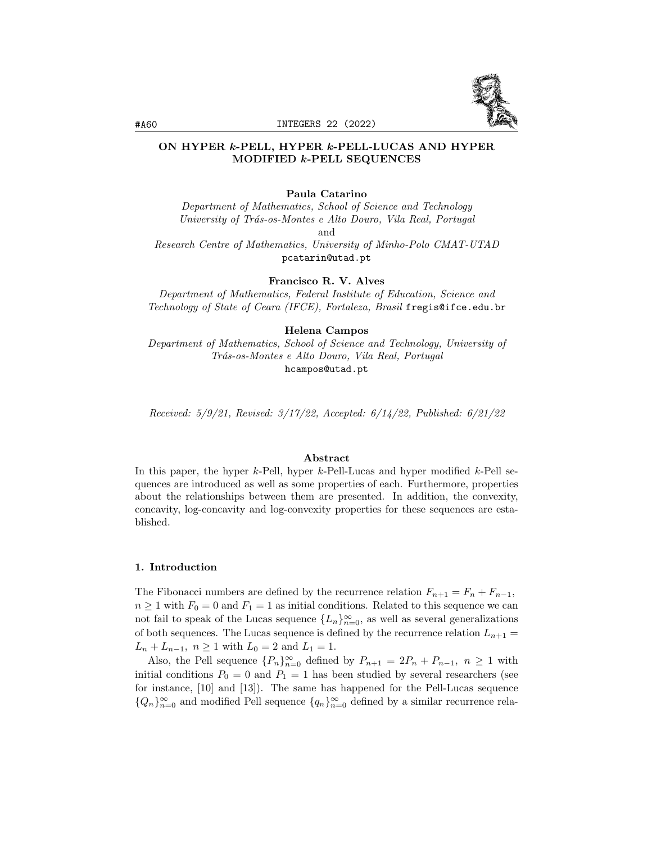

## ON HYPER k-PELL, HYPER k-PELL-LUCAS AND HYPER MODIFIED k-PELL SEQUENCES

#### Paula Catarino

Department of Mathematics, School of Science and Technology University of Trás-os-Montes e Alto Douro, Vila Real, Portugal and Research Centre of Mathematics, University of Minho-Polo CMAT-UTAD

pcatarin@utad.pt

Francisco R. V. Alves

Department of Mathematics, Federal Institute of Education, Science and Technology of State of Ceara (IFCE), Fortaleza, Brasil fregis@ifce.edu.br

#### Helena Campos

Department of Mathematics, School of Science and Technology, University of Trás-os-Montes e Alto Douro, Vila Real, Portugal hcampos@utad.pt

Received: 5/9/21, Revised: 3/17/22, Accepted: 6/14/22, Published: 6/21/22

#### Abstract

In this paper, the hyper  $k$ -Pell, hyper  $k$ -Pell-Lucas and hyper modified  $k$ -Pell sequences are introduced as well as some properties of each. Furthermore, properties about the relationships between them are presented. In addition, the convexity, concavity, log-concavity and log-convexity properties for these sequences are established.

#### 1. Introduction

The Fibonacci numbers are defined by the recurrence relation  $F_{n+1} = F_n + F_{n-1}$ ,  $n \geq 1$  with  $F_0 = 0$  and  $F_1 = 1$  as initial conditions. Related to this sequence we can not fail to speak of the Lucas sequence  ${L_n}_{n=0}^{\infty}$ , as well as several generalizations of both sequences. The Lucas sequence is defined by the recurrence relation  $L_{n+1} =$  $L_n + L_{n-1}, n \ge 1$  with  $L_0 = 2$  and  $L_1 = 1$ .

Also, the Pell sequence  ${P_n}_{n=0}^{\infty}$  defined by  $P_{n+1} = 2P_n + P_{n-1}$ ,  $n \ge 1$  with initial conditions  $P_0 = 0$  and  $P_1 = 1$  has been studied by several researchers (see for instance, [10] and [13]). The same has happened for the Pell-Lucas sequence  ${Q_n}_{n=0}^{\infty}$  and modified Pell sequence  ${q_n}_{n=0}^{\infty}$  defined by a similar recurrence rela-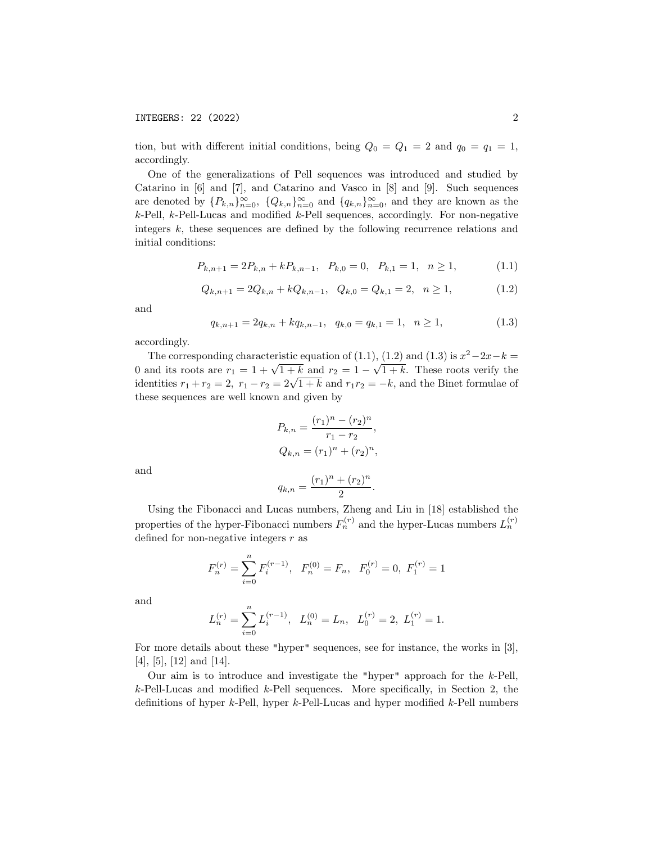tion, but with different initial conditions, being  $Q_0 = Q_1 = 2$  and  $q_0 = q_1 = 1$ , accordingly.

One of the generalizations of Pell sequences was introduced and studied by Catarino in [6] and [7], and Catarino and Vasco in [8] and [9]. Such sequences are denoted by  ${P_{k,n}}_{n=0}^{\infty}$ ,  ${Q_{k,n}}_{n=0}^{\infty}$  and  ${q_{k,n}}_{n=0}^{\infty}$ , and they are known as the  $k$ -Pell,  $k$ -Pell-Lucas and modified  $k$ -Pell sequences, accordingly. For non-negative integers  $k$ , these sequences are defined by the following recurrence relations and initial conditions:

$$
P_{k,n+1} = 2P_{k,n} + kP_{k,n-1}, \quad P_{k,0} = 0, \quad P_{k,1} = 1, \quad n \ge 1,
$$
\n(1.1)

$$
Q_{k,n+1} = 2Q_{k,n} + kQ_{k,n-1}, \quad Q_{k,0} = Q_{k,1} = 2, \quad n \ge 1,
$$
\n(1.2)

and

$$
q_{k,n+1} = 2q_{k,n} + kq_{k,n-1}, \quad q_{k,0} = q_{k,1} = 1, \quad n \ge 1,
$$
\n(1.3)

accordingly.

The corresponding characteristic equation of (1.1), (1.2) and (1.3) is  $x^2-2x-k=$ 0 and its roots are  $r_1 = 1 + \sqrt{1+k}$  and  $r_2 = 1 -$ √  $1 + k$ . These roots verify the o and its roots are  $r_1 = 1 + \sqrt{1 + k}$  and  $r_2 = 1 - \sqrt{1 + k}$ . These roots verify the identities  $r_1 + r_2 = 2$ ,  $r_1 - r_2 = 2\sqrt{1 + k}$  and  $r_1r_2 = -k$ , and the Binet formulae of these sequences are well known and given by

$$
P_{k,n} = \frac{(r_1)^n - (r_2)^n}{r_1 - r_2},
$$
  
\n
$$
Q_{k,n} = (r_1)^n + (r_2)^n,
$$

and

$$
q_{k,n} = \frac{(r_1)^n + (r_2)^n}{2}.
$$

Using the Fibonacci and Lucas numbers, Zheng and Liu in [18] established the properties of the hyper-Fibonacci numbers  $F_n^{(r)}$  and the hyper-Lucas numbers  $L_n^{(r)}$ defined for non-negative integers  $r$  as

$$
F_n^{(r)} = \sum_{i=0}^n F_i^{(r-1)}, \quad F_n^{(0)} = F_n, \quad F_0^{(r)} = 0, \quad F_1^{(r)} = 1
$$

and

$$
L_n^{(r)}=\sum_{i=0}^n L_i^{(r-1)},\ \ L_n^{(0)}=L_n,\ \ L_0^{(r)}=2,\ L_1^{(r)}=1.
$$

For more details about these "hyper" sequences, see for instance, the works in [3],  $[4]$ ,  $[5]$ ,  $[12]$  and  $[14]$ .

Our aim is to introduce and investigate the "hyper" approach for the k-Pell,  $k$ -Pell-Lucas and modified  $k$ -Pell sequences. More specifically, in Section 2, the definitions of hyper  $k$ -Pell, hyper  $k$ -Pell-Lucas and hyper modified  $k$ -Pell numbers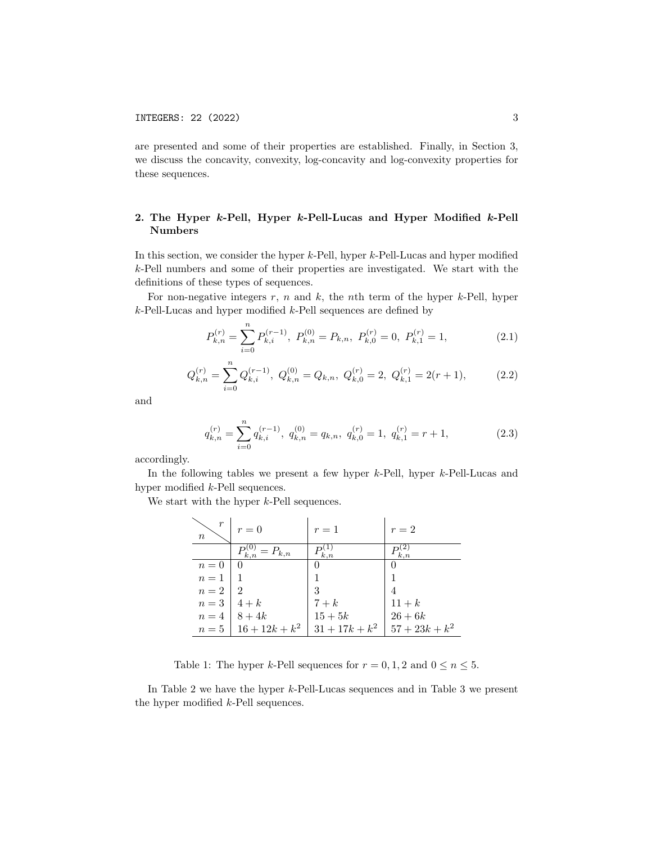are presented and some of their properties are established. Finally, in Section 3, we discuss the concavity, convexity, log-concavity and log-convexity properties for these sequences.

# 2. The Hyper k-Pell, Hyper k-Pell-Lucas and Hyper Modified k-Pell Numbers

In this section, we consider the hyper k-Pell, hyper k-Pell-Lucas and hyper modified k-Pell numbers and some of their properties are investigated. We start with the definitions of these types of sequences.

For non-negative integers  $r$ ,  $n$  and  $k$ , the nth term of the hyper  $k$ -Pell, hyper  $k$ -Pell-Lucas and hyper modified  $k$ -Pell sequences are defined by

$$
P_{k,n}^{(r)} = \sum_{i=0}^{n} P_{k,i}^{(r-1)}, \ P_{k,n}^{(0)} = P_{k,n}, \ P_{k,0}^{(r)} = 0, \ P_{k,1}^{(r)} = 1,
$$
 (2.1)

$$
Q_{k,n}^{(r)} = \sum_{i=0}^{n} Q_{k,i}^{(r-1)}, \ Q_{k,n}^{(0)} = Q_{k,n}, \ Q_{k,0}^{(r)} = 2, \ Q_{k,1}^{(r)} = 2(r+1), \tag{2.2}
$$

and

$$
q_{k,n}^{(r)} = \sum_{i=0}^{n} q_{k,i}^{(r-1)}, \ q_{k,n}^{(0)} = q_{k,n}, \ q_{k,0}^{(r)} = 1, \ q_{k,1}^{(r)} = r+1,
$$
\n(2.3)

accordingly.

In the following tables we present a few hyper k-Pell, hyper k-Pell-Lucas and hyper modified k-Pell sequences.

We start with the hyper k-Pell sequences.

| r<br>$\boldsymbol{n}$                                   | $r = 0$                     | $r=1$            | $r=2$            |
|---------------------------------------------------------|-----------------------------|------------------|------------------|
|                                                         | $P_{k,n}^{(0)} = P_{k,n}$   | $P_{k,n}^{(1)}$  | k.n              |
|                                                         |                             |                  |                  |
| $\begin{array}{c c} n = 0 & 0 \\ n = 1 & 1 \end{array}$ |                             |                  |                  |
| $n=2$   2                                               |                             | 3                |                  |
| $n=3$ 4+k                                               |                             | $7+k$            | $11+k$           |
|                                                         | $n = 4 \mid 8 + 4k$         | $15+5k$          | $26 + 6k$        |
|                                                         | $n = 5 \mid 16 + 12k + k^2$ | $31 + 17k + k^2$ | $57 + 23k + k^2$ |

Table 1: The hyper k-Pell sequences for  $r = 0, 1, 2$  and  $0 \le n \le 5$ .

In Table 2 we have the hyper k-Pell-Lucas sequences and in Table 3 we present the hyper modified k-Pell sequences.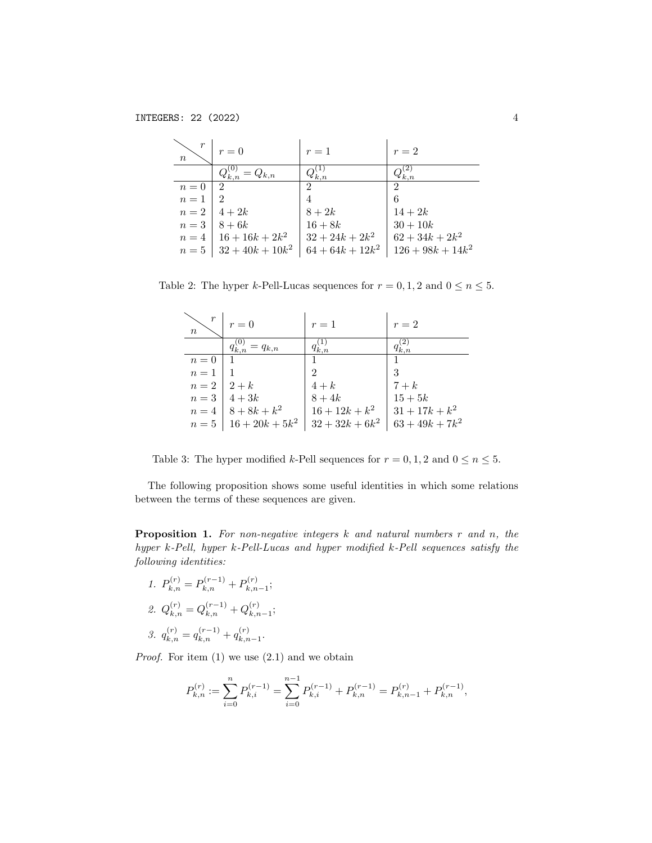| $\boldsymbol{n}$   | $r=0$                        | $r=1$              | $r=2$               |
|--------------------|------------------------------|--------------------|---------------------|
|                    | $Q_{k,n}^{(0)} = Q_{k,n}$    | $Q_{k,n}^{(1)}$    |                     |
|                    | $\perp 2$                    | $\overline{2}$     | 2                   |
| $n = 0$<br>$n = 1$ |                              |                    | 6                   |
|                    | $n=2$   $4+2k$               | $8+2k$             | $14 + 2k$           |
|                    | $n = 3 \mid 8 + 6k$          | $16 + 8k$          | $30 + 10k$          |
|                    | $n = 4 \mid 16 + 16k + 2k^2$ | $32 + 24k + 2k^2$  | $62 + 34k + 2k^2$   |
|                    | $n = 5$   $32 + 40k + 10k^2$ | $64 + 64k + 12k^2$ | $126 + 98k + 14k^2$ |

Table 2: The hyper *k*-Pell-Lucas sequences for  $r = 0, 1, 2$  and  $0 \le n \le 5$ .

| $\boldsymbol{n}$   | $r = 0$                      | $r=1$                    | $r=2$             |
|--------------------|------------------------------|--------------------------|-------------------|
|                    | $q_{k,n}^{(0)} = q_{k,n}$    | $q_{k,n}^{\prime\prime}$ |                   |
|                    |                              |                          |                   |
| $n = 0$<br>$n = 1$ |                              | 2                        | 3                 |
| $n=2$   2+k        |                              | $4+k$                    | $7+k$             |
|                    | $n=3$   $4+3k$               | $8+4k$                   | $15+5k$           |
|                    | $n = 4 \mid 8 + 8k + k^2$    | $16+12k+k^2$             | $31 + 17k + k^2$  |
|                    | $n = 5 \mid 16 + 20k + 5k^2$ | $32 + 32k + 6k^2$        | $63 + 49k + 7k^2$ |

Table 3: The hyper modified k-Pell sequences for  $r = 0, 1, 2$  and  $0 \le n \le 5$ .

The following proposition shows some useful identities in which some relations between the terms of these sequences are given.

**Proposition 1.** For non-negative integers  $k$  and natural numbers  $r$  and  $n$ , the hyper k-Pell, hyper k-Pell-Lucas and hyper modified k-Pell sequences satisfy the following identities:

- 1.  $P_{k,n}^{(r)} = P_{k,n}^{(r-1)} + P_{k,n}^{(r)}$  $x_{k,n-1}^{(r)}$ ; 2.  $Q_{k,n}^{(r)} = Q_{k,n}^{(r-1)} + Q_{k,n}^{(r)}$  $\mathbf{x}_{k,n-1}^{(r)}$
- 3.  $q_{k,n}^{(r)} = q_{k,n}^{(r-1)} + q_{k,n}^{(r)}$  $\mathbf{x}_{n+1}^{(r)}$ .

*Proof.* For item  $(1)$  we use  $(2.1)$  and we obtain

$$
P_{k,n}^{(r)} := \sum_{i=0}^{n} P_{k,i}^{(r-1)} = \sum_{i=0}^{n-1} P_{k,i}^{(r-1)} + P_{k,n}^{(r-1)} = P_{k,n-1}^{(r)} + P_{k,n}^{(r-1)},
$$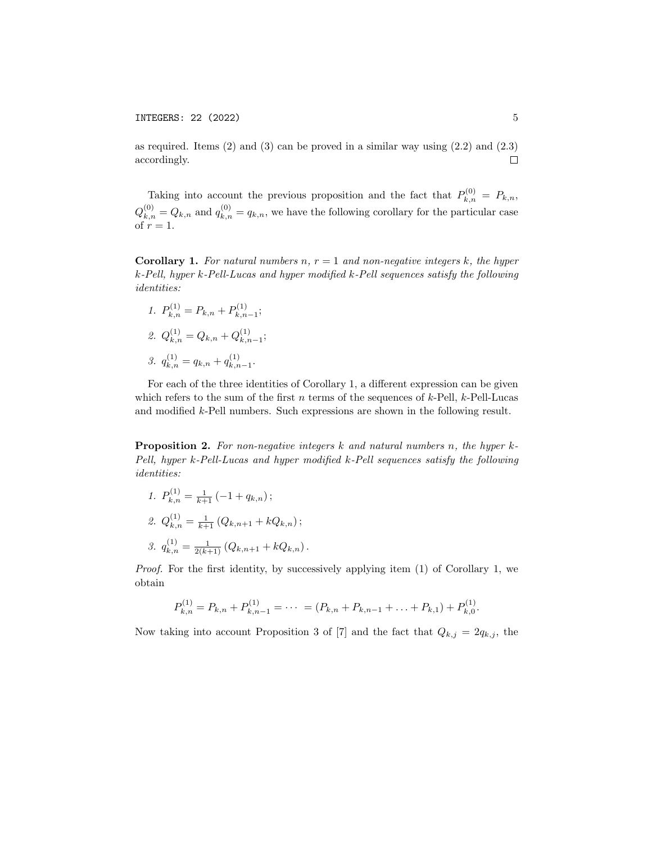as required. Items  $(2)$  and  $(3)$  can be proved in a similar way using  $(2.2)$  and  $(2.3)$ accordingly.  $\Box$ 

Taking into account the previous proposition and the fact that  $P_{k,n}^{(0)} = P_{k,n}$ ,  $Q_{k,n}^{(0)} = Q_{k,n}$  and  $q_{k,n}^{(0)} = q_{k,n}$ , we have the following corollary for the particular case of  $r = 1$ .

**Corollary 1.** For natural numbers n,  $r = 1$  and non-negative integers k, the hyper k-Pell, hyper k-Pell-Lucas and hyper modified k-Pell sequences satisfy the following identities:

1.  $P_{k,n}^{(1)} = P_{k,n} + P_{k,n}^{(1)}$  $x_{n+1}^{(1)}$ ; 2.  $Q_{k,n}^{(1)} = Q_{k,n} + Q_{k,n}^{(1)}$  $\sum_{k,n-1}^{(1)}$ 3.  $q_{k,n}^{(1)} = q_{k,n} + q_{k,n}^{(1)}$  $\sum_{k,n-1}^{(1)}$ 

For each of the three identities of Corollary 1, a different expression can be given which refers to the sum of the first n terms of the sequences of  $k$ -Pell,  $k$ -Pell-Lucas and modified k-Pell numbers. Such expressions are shown in the following result.

**Proposition 2.** For non-negative integers k and natural numbers n, the hyper  $k$ -Pell, hyper k-Pell-Lucas and hyper modified k-Pell sequences satisfy the following identities:

1.  $P_{k,n}^{(1)} = \frac{1}{k+1} \left(-1 + q_{k,n}\right);$ 2.  $Q_{k,n}^{(1)} = \frac{1}{k+1} (Q_{k,n+1} + kQ_{k,n});$ 3.  $q_{k,n}^{(1)} = \frac{1}{2(k+1)} (Q_{k,n+1} + kQ_{k,n}).$ 

Proof. For the first identity, by successively applying item (1) of Corollary 1, we obtain

$$
P_{k,n}^{(1)} = P_{k,n} + P_{k,n-1}^{(1)} = \cdots = (P_{k,n} + P_{k,n-1} + \ldots + P_{k,1}) + P_{k,0}^{(1)}.
$$

Now taking into account Proposition 3 of [7] and the fact that  $Q_{k,j} = 2q_{k,j}$ , the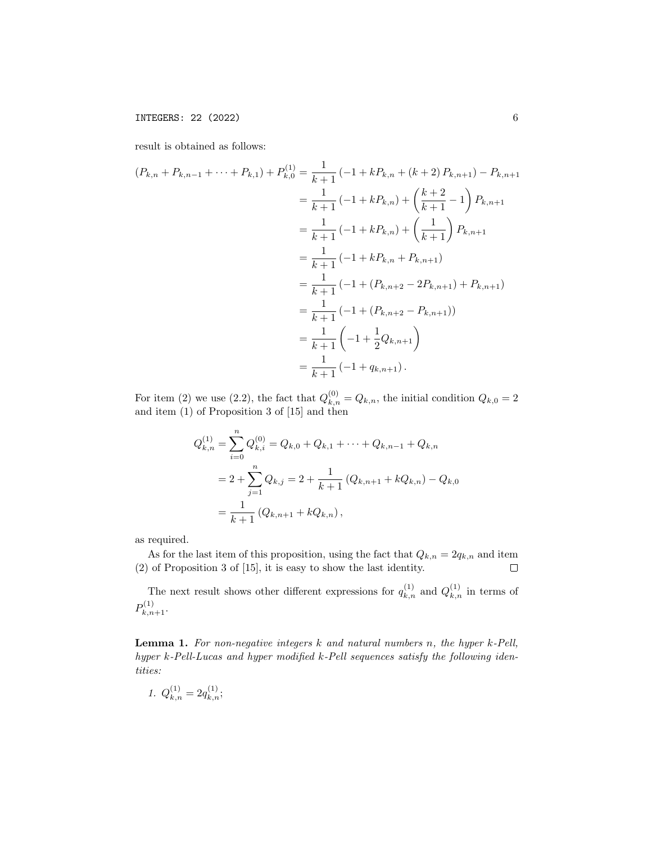result is obtained as follows:

$$
(P_{k,n} + P_{k,n-1} + \dots + P_{k,1}) + P_{k,0}^{(1)} = \frac{1}{k+1} \left( -1 + k P_{k,n} + (k+2) P_{k,n+1} \right) - P_{k,n+1}
$$
  
\n
$$
= \frac{1}{k+1} \left( -1 + k P_{k,n} \right) + \left( \frac{k+2}{k+1} - 1 \right) P_{k,n+1}
$$
  
\n
$$
= \frac{1}{k+1} \left( -1 + k P_{k,n} \right) + \left( \frac{1}{k+1} \right) P_{k,n+1}
$$
  
\n
$$
= \frac{1}{k+1} \left( -1 + k P_{k,n} + P_{k,n+1} \right)
$$
  
\n
$$
= \frac{1}{k+1} \left( -1 + (P_{k,n+2} - 2P_{k,n+1}) + P_{k,n+1} \right)
$$
  
\n
$$
= \frac{1}{k+1} \left( -1 + (P_{k,n+2} - P_{k,n+1}) \right)
$$
  
\n
$$
= \frac{1}{k+1} \left( -1 + \frac{1}{2} Q_{k,n+1} \right)
$$
  
\n
$$
= \frac{1}{k+1} \left( -1 + q_{k,n+1} \right).
$$

For item (2) we use (2.2), the fact that  $Q_{k,n}^{(0)} = Q_{k,n}$ , the initial condition  $Q_{k,0} = 2$ and item (1) of Proposition 3 of [15] and then

$$
Q_{k,n}^{(1)} = \sum_{i=0}^{n} Q_{k,i}^{(0)} = Q_{k,0} + Q_{k,1} + \dots + Q_{k,n-1} + Q_{k,n}
$$
  
=  $2 + \sum_{j=1}^{n} Q_{k,j} = 2 + \frac{1}{k+1} (Q_{k,n+1} + kQ_{k,n}) - Q_{k,0}$   
=  $\frac{1}{k+1} (Q_{k,n+1} + kQ_{k,n}),$ 

as required.

As for the last item of this proposition, using the fact that  $Q_{k,n} = 2q_{k,n}$  and item (2) of Proposition 3 of [15], it is easy to show the last identity.  $\Box$ 

The next result shows other different expressions for  $q_{k,n}^{(1)}$  and  $Q_{k,n}^{(1)}$  in terms of  $P_{k,n+1}^{(1)}$ .

Lemma 1. For non-negative integers k and natural numbers n, the hyper k-Pell, hyper k-Pell-Lucas and hyper modified k-Pell sequences satisfy the following identities:

$$
1. \ Q_{k,n}^{(1)} = 2q_{k,n}^{(1)};
$$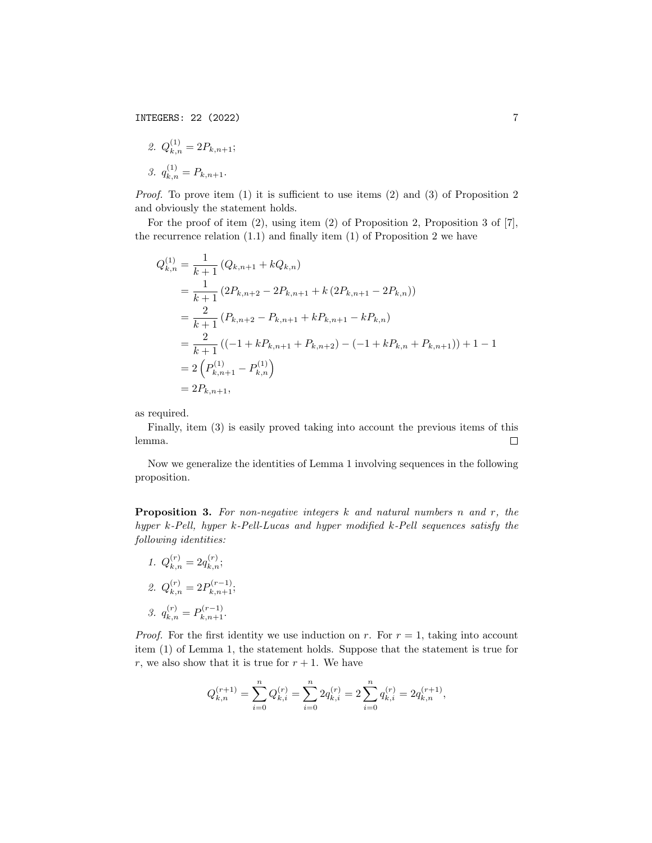2. 
$$
Q_{k,n}^{(1)} = 2P_{k,n+1};
$$
  
3.  $q_{k,n}^{(1)} = P_{k,n+1}.$ 

Proof. To prove item (1) it is sufficient to use items (2) and (3) of Proposition 2 and obviously the statement holds.

For the proof of item (2), using item (2) of Proposition 2, Proposition 3 of [7], the recurrence relation  $(1.1)$  and finally item  $(1)$  of Proposition 2 we have

$$
Q_{k,n}^{(1)} = \frac{1}{k+1} (Q_{k,n+1} + kQ_{k,n})
$$
  
=  $\frac{1}{k+1} (2P_{k,n+2} - 2P_{k,n+1} + k (2P_{k,n+1} - 2P_{k,n}))$   
=  $\frac{2}{k+1} (P_{k,n+2} - P_{k,n+1} + kP_{k,n+1} - kP_{k,n})$   
=  $\frac{2}{k+1} ((-1 + kP_{k,n+1} + P_{k,n+2}) - (-1 + kP_{k,n} + P_{k,n+1})) + 1 - 1$   
=  $2 (P_{k,n+1}^{(1)} - P_{k,n}^{(1)})$   
=  $2P_{k,n+1}$ ,

as required.

Finally, item (3) is easily proved taking into account the previous items of this lemma.  $\Box$ 

Now we generalize the identities of Lemma 1 involving sequences in the following proposition.

**Proposition 3.** For non-negative integers  $k$  and natural numbers n and  $r$ , the hyper k-Pell, hyper k-Pell-Lucas and hyper modified k-Pell sequences satisfy the following identities:

1.  $Q_{k,n}^{(r)} = 2q_{k,n}^{(r)};$ 2.  $Q_{k,n}^{(r)} = 2P_{k,n+1}^{(r-1)}$ ; 3.  $q_{k,n}^{(r)} = P_{k,n+1}^{(r-1)}$ .

*Proof.* For the first identity we use induction on r. For  $r = 1$ , taking into account item (1) of Lemma 1, the statement holds. Suppose that the statement is true for r, we also show that it is true for  $r + 1$ . We have

$$
Q_{k,n}^{(r+1)}=\sum_{i=0}^n Q_{k,i}^{(r)}=\sum_{i=0}^n 2q_{k,i}^{(r)}=2\sum_{i=0}^n q_{k,i}^{(r)}=2q_{k,n}^{(r+1)},
$$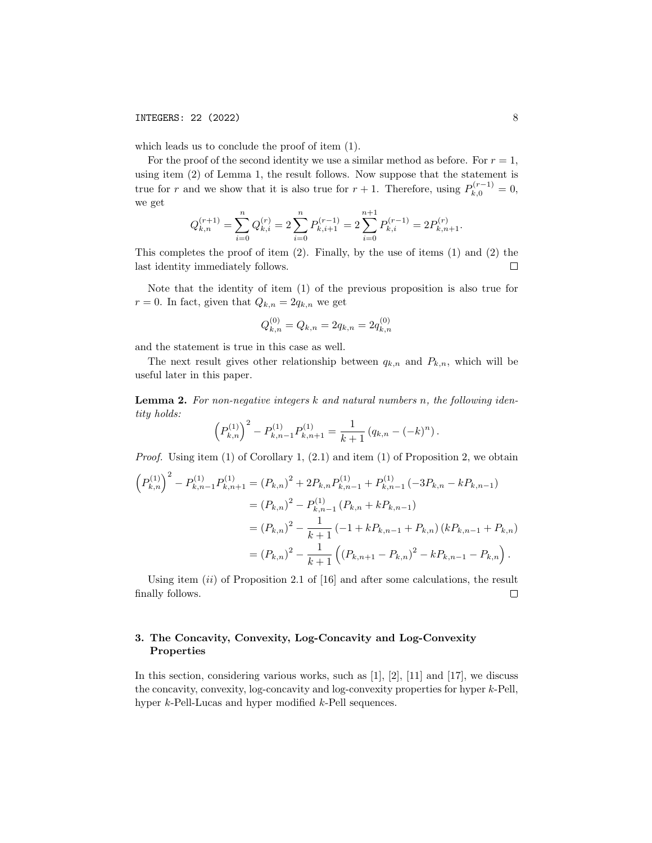which leads us to conclude the proof of item (1).

For the proof of the second identity we use a similar method as before. For  $r = 1$ , using item (2) of Lemma 1, the result follows. Now suppose that the statement is true for r and we show that it is also true for  $r + 1$ . Therefore, using  $P_{k,0}^{(r-1)} = 0$ , we get

$$
Q_{k,n}^{(r+1)} = \sum_{i=0}^{n} Q_{k,i}^{(r)} = 2 \sum_{i=0}^{n} P_{k,i+1}^{(r-1)} = 2 \sum_{i=0}^{n+1} P_{k,i}^{(r-1)} = 2 P_{k,n+1}^{(r)}.
$$

This completes the proof of item  $(2)$ . Finally, by the use of items  $(1)$  and  $(2)$  the last identity immediately follows.  $\Box$ 

Note that the identity of item (1) of the previous proposition is also true for  $r = 0$ . In fact, given that  $Q_{k,n} = 2q_{k,n}$  we get

$$
Q_{k,n}^{(0)} = Q_{k,n} = 2q_{k,n} = 2q_{k,n}^{(0)}
$$

and the statement is true in this case as well.

The next result gives other relationship between  $q_{k,n}$  and  $P_{k,n}$ , which will be useful later in this paper.

Lemma 2. For non-negative integers k and natural numbers n, the following identity holds:

$$
\left(P_{k,n}^{(1)}\right)^2 - P_{k,n-1}^{(1)}P_{k,n+1}^{(1)} = \frac{1}{k+1} \left(q_{k,n} - (-k)^n\right).
$$

*Proof.* Using item  $(1)$  of Corollary 1,  $(2.1)$  and item  $(1)$  of Proposition 2, we obtain

$$
\left(P_{k,n}^{(1)}\right)^2 - P_{k,n-1}^{(1)}P_{k,n+1}^{(1)} = (P_{k,n})^2 + 2P_{k,n}P_{k,n-1}^{(1)} + P_{k,n-1}^{(1)}(-3P_{k,n} - kP_{k,n-1})
$$
  

$$
= (P_{k,n})^2 - P_{k,n-1}^{(1)}(P_{k,n} + kP_{k,n-1})
$$
  

$$
= (P_{k,n})^2 - \frac{1}{k+1}(-1 + kP_{k,n-1} + P_{k,n})(kP_{k,n-1} + P_{k,n})
$$
  

$$
= (P_{k,n})^2 - \frac{1}{k+1}\left((P_{k,n+1} - P_{k,n})^2 - kP_{k,n-1} - P_{k,n}\right).
$$

Using item  $(ii)$  of Proposition 2.1 of [16] and after some calculations, the result finally follows.  $\Box$ 

# 3. The Concavity, Convexity, Log-Concavity and Log-Convexity Properties

In this section, considering various works, such as  $[1]$ ,  $[2]$ ,  $[11]$  and  $[17]$ , we discuss the concavity, convexity, log-concavity and log-convexity properties for hyper k-Pell, hyper *k*-Pell-Lucas and hyper modified *k*-Pell sequences.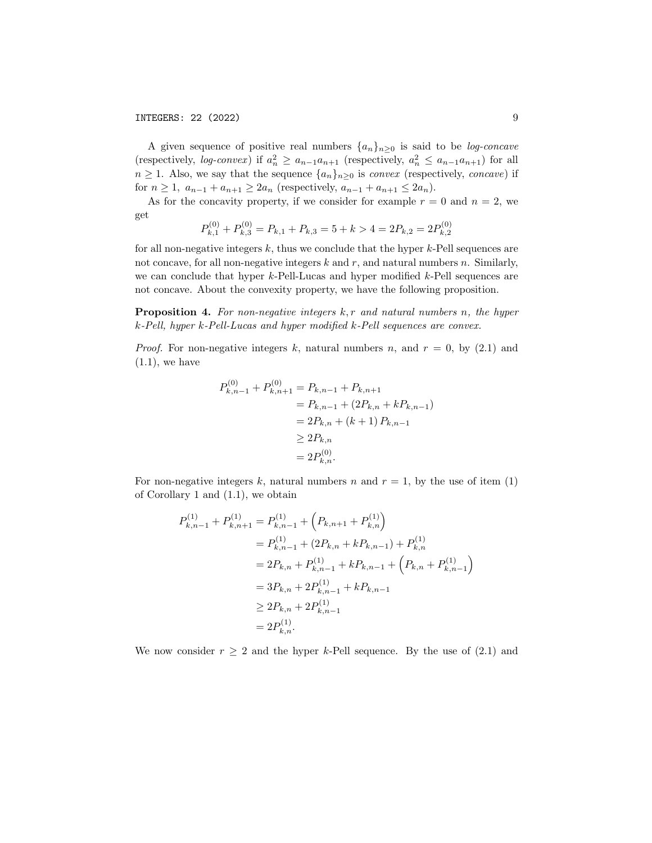A given sequence of positive real numbers  $\{a_n\}_{n\geq 0}$  is said to be *log-concave* (respectively, log-convex) if  $a_n^2 \ge a_{n-1}a_{n+1}$  (respectively,  $a_n^2 \le a_{n-1}a_{n+1}$ ) for all  $n \geq 1$ . Also, we say that the sequence  $\{a_n\}_{n \geq 0}$  is *convex* (respectively, *concave*) if for  $n \geq 1$ ,  $a_{n-1} + a_{n+1} \geq 2a_n$  (respectively,  $a_{n-1} + a_{n+1} \leq 2a_n$ ).

As for the concavity property, if we consider for example  $r = 0$  and  $n = 2$ , we get

$$
P_{k,1}^{(0)} + P_{k,3}^{(0)} = P_{k,1} + P_{k,3} = 5 + k > 4 = 2P_{k,2} = 2P_{k,2}^{(0)}
$$

for all non-negative integers  $k$ , thus we conclude that the hyper  $k$ -Pell sequences are not concave, for all non-negative integers  $k$  and  $r$ , and natural numbers  $n$ . Similarly, we can conclude that hyper k-Pell-Lucas and hyper modified k-Pell sequences are not concave. About the convexity property, we have the following proposition.

**Proposition 4.** For non-negative integers  $k, r$  and natural numbers n, the hyper k-Pell, hyper k-Pell-Lucas and hyper modified k-Pell sequences are convex.

*Proof.* For non-negative integers k, natural numbers n, and  $r = 0$ , by (2.1) and  $(1.1)$ , we have

$$
P_{k,n-1}^{(0)} + P_{k,n+1}^{(0)} = P_{k,n-1} + P_{k,n+1}
$$
  
=  $P_{k,n-1} + (2P_{k,n} + kP_{k,n-1})$   
=  $2P_{k,n} + (k+1) P_{k,n-1}$   
 $\geq 2P_{k,n}$   
=  $2P_{k,n}^{(0)}$ .

For non-negative integers k, natural numbers n and  $r = 1$ , by the use of item (1) of Corollary 1 and (1.1), we obtain

$$
P_{k,n-1}^{(1)} + P_{k,n+1}^{(1)} = P_{k,n-1}^{(1)} + (P_{k,n+1} + P_{k,n}^{(1)})
$$
  
=  $P_{k,n-1}^{(1)} + (2P_{k,n} + kP_{k,n-1}) + P_{k,n}^{(1)}$   
=  $2P_{k,n} + P_{k,n-1}^{(1)} + kP_{k,n-1} + (P_{k,n} + P_{k,n-1}^{(1)})$   
=  $3P_{k,n} + 2P_{k,n-1}^{(1)} + kP_{k,n-1}$   
 $\geq 2P_{k,n} + 2P_{k,n-1}^{(1)}$   
=  $2P_{k,n}^{(1)}$ .

We now consider  $r \geq 2$  and the hyper k-Pell sequence. By the use of (2.1) and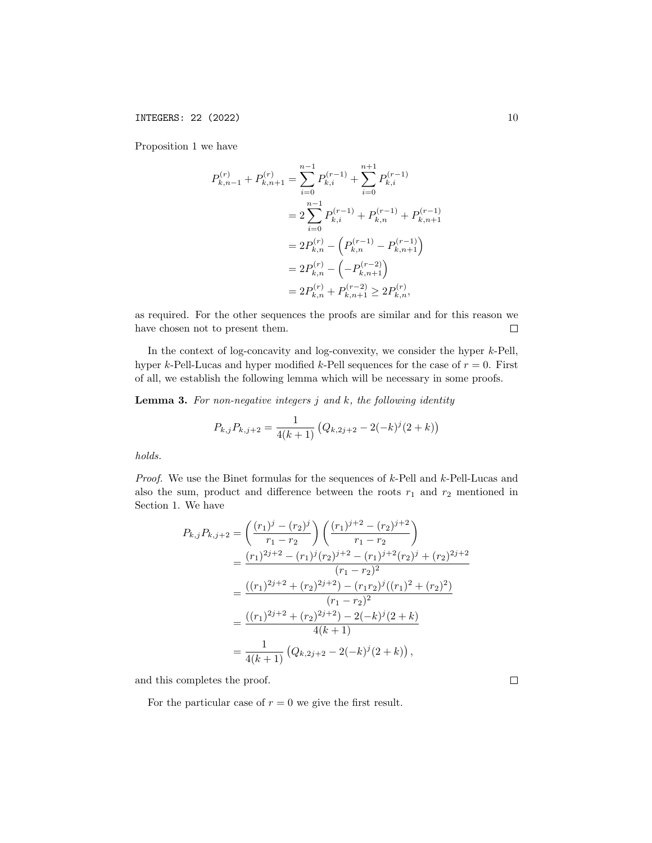Proposition 1 we have

$$
P_{k,n-1}^{(r)} + P_{k,n+1}^{(r)} = \sum_{i=0}^{n-1} P_{k,i}^{(r-1)} + \sum_{i=0}^{n+1} P_{k,i}^{(r-1)}
$$
  
= 
$$
2 \sum_{i=0}^{n-1} P_{k,i}^{(r-1)} + P_{k,n}^{(r-1)} + P_{k,n+1}^{(r-1)}
$$
  
= 
$$
2P_{k,n}^{(r)} - \left( P_{k,n}^{(r-1)} - P_{k,n+1}^{(r-1)} \right)
$$
  
= 
$$
2P_{k,n}^{(r)} - \left( -P_{k,n+1}^{(r-2)} \right)
$$
  
= 
$$
2P_{k,n}^{(r)} + P_{k,n+1}^{(r-2)} \ge 2P_{k,n}^{(r)},
$$

as required. For the other sequences the proofs are similar and for this reason we have chosen not to present them.  $\Box$ 

In the context of log-concavity and log-convexity, we consider the hyper  $k$ -Pell, hyper k-Pell-Lucas and hyper modified k-Pell sequences for the case of  $r = 0$ . First of all, we establish the following lemma which will be necessary in some proofs.

**Lemma 3.** For non-negative integers  $j$  and  $k$ , the following identity

$$
P_{k,j}P_{k,j+2} = \frac{1}{4(k+1)} \left( Q_{k,2j+2} - 2(-k)^j (2+k) \right)
$$

holds.

*Proof.* We use the Binet formulas for the sequences of  $k$ -Pell and  $k$ -Pell-Lucas and also the sum, product and difference between the roots  $r_1$  and  $r_2$  mentioned in Section 1. We have

$$
P_{k,j}P_{k,j+2} = \left(\frac{(r_1)^j - (r_2)^j}{r_1 - r_2}\right) \left(\frac{(r_1)^{j+2} - (r_2)^{j+2}}{r_1 - r_2}\right)
$$
  
= 
$$
\frac{(r_1)^{2j+2} - (r_1)^j (r_2)^{j+2} - (r_1)^{j+2} (r_2)^j + (r_2)^{2j+2}}{(r_1 - r_2)^2}
$$
  
= 
$$
\frac{((r_1)^{2j+2} + (r_2)^{2j+2}) - (r_1r_2)^j ((r_1)^2 + (r_2)^2)}{(r_1 - r_2)^2}
$$
  
= 
$$
\frac{((r_1)^{2j+2} + (r_2)^{2j+2}) - 2(-k)^j (2+k)}{4(k+1)}
$$
  
= 
$$
\frac{1}{4(k+1)} (Q_{k,2j+2} - 2(-k)^j (2+k)),
$$

and this completes the proof.

For the particular case of  $r = 0$  we give the first result.

 $\Box$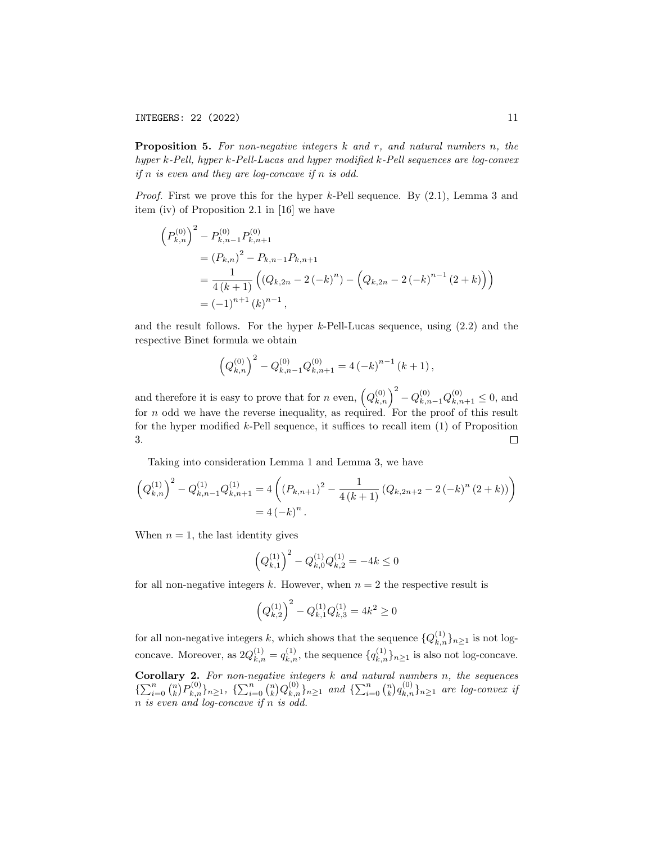**Proposition 5.** For non-negative integers  $k$  and  $r$ , and natural numbers  $n$ , the hyper k-Pell, hyper k-Pell-Lucas and hyper modified k-Pell sequences are log-convex *if*  $n$  *is even and they are log-concave if*  $n$  *is odd.* 

*Proof.* First we prove this for the hyper k-Pell sequence. By  $(2.1)$ , Lemma 3 and item (iv) of Proposition 2.1 in [16] we have

$$
\left(P_{k,n}^{(0)}\right)^{2} - P_{k,n-1}^{(0)} P_{k,n+1}^{(0)}
$$
  
=  $(P_{k,n})^{2} - P_{k,n-1}P_{k,n+1}$   
=  $\frac{1}{4(k+1)} \left( (Q_{k,2n} - 2(-k)^{n}) - \left( Q_{k,2n} - 2(-k)^{n-1} (2+k) \right) \right)$   
=  $(-1)^{n+1} (k)^{n-1},$ 

and the result follows. For the hyper k-Pell-Lucas sequence, using (2.2) and the respective Binet formula we obtain

$$
\left(Q_{k,n}^{(0)}\right)^2 - Q_{k,n-1}^{(0)}Q_{k,n+1}^{(0)} = 4\left(-k\right)^{n-1}\left(k+1\right),\,
$$

and therefore it is easy to prove that for n even,  $(Q_{k,n}^{(0)})^2 - Q_{k,n-1}^{(0)}Q_{k,n+1}^{(0)} \le 0$ , and for n odd we have the reverse inequality, as required. For the proof of this result for the hyper modified  $k$ -Pell sequence, it suffices to recall item  $(1)$  of Proposition 3.  $\Box$ 

Taking into consideration Lemma 1 and Lemma 3, we have

$$
\left(Q_{k,n}^{(1)}\right)^2 - Q_{k,n-1}^{(1)}Q_{k,n+1}^{(1)} = 4\left(\left(P_{k,n+1}\right)^2 - \frac{1}{4\left(k+1\right)}\left(Q_{k,2n+2} - 2\left(-k\right)^n\left(2+k\right)\right)\right)
$$

$$
= 4\left(-k\right)^n.
$$

When  $n = 1$ , the last identity gives

$$
\left(Q_{k,1}^{(1)}\right)^2 - Q_{k,0}^{(1)}Q_{k,2}^{(1)} = -4k \le 0
$$

for all non-negative integers k. However, when  $n = 2$  the respective result is

$$
\left(Q_{k,2}^{(1)}\right)^2 - Q_{k,1}^{(1)}Q_{k,3}^{(1)} = 4k^2 \ge 0
$$

for all non-negative integers k, which shows that the sequence  $\{Q_{k,n}^{(1)}\}_{n\geq 1}$  is not logconcave. Moreover, as  $2Q_{k,n}^{(1)} = q_{k,n}^{(1)}$ , the sequence  $\{q_{k,n}^{(1)}\}_{n\geq 1}$  is also not log-concave. **Corollary 2.** For non-negative integers  $k$  and natural numbers  $n$ , the sequences  $\{\sum_{i=0}^n {n \choose k} P_{k,n}^{(0)}\}_{n\geq 1}$ ,  $\{\sum_{i=0}^n {n \choose k} Q_{k,n}^{(0)}\}_{n\geq 1}$  and  $\{\sum_{i=0}^n {n \choose k} q_{k,n}^{(0)}\}_{n\geq 1}$  are log-convex if n is even and log-concave if n is odd.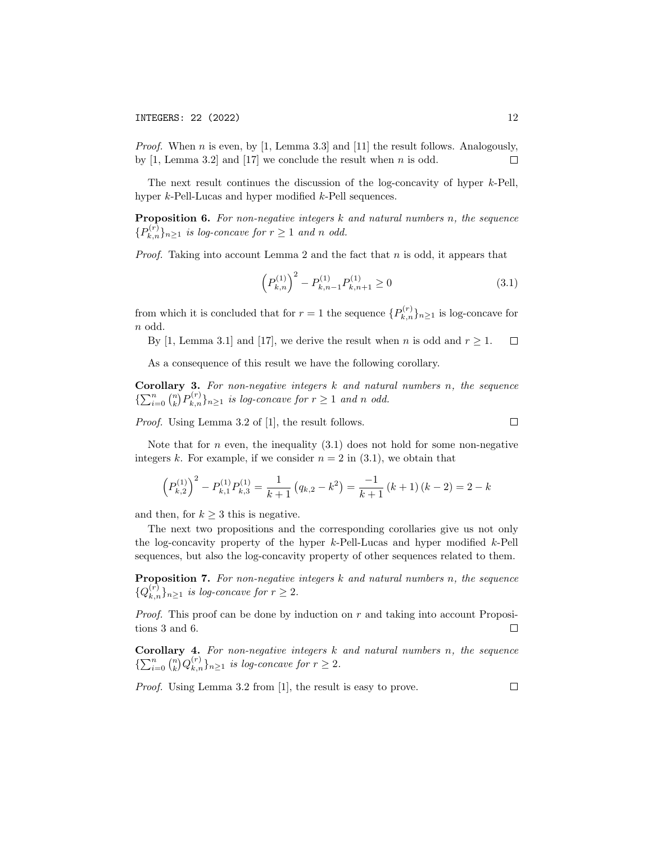*Proof.* When n is even, by [1, Lemma 3.3] and [11] the result follows. Analogously, by  $[1, \text{Lemma } 3.2]$  and  $[17]$  we conclude the result when n is odd.  $\Box$ 

The next result continues the discussion of the log-concavity of hyper k-Pell, hyper k-Pell-Lucas and hyper modified k-Pell sequences.

Proposition 6. For non-negative integers  $k$  and natural numbers n, the sequence  ${P_{k,n}^{(r)}}_{n \geq 1}$  is log-concave for  $r \geq 1$  and n odd.

*Proof.* Taking into account Lemma 2 and the fact that  $n$  is odd, it appears that

$$
\left(P_{k,n}^{(1)}\right)^2 - P_{k,n-1}^{(1)}P_{k,n+1}^{(1)} \ge 0\tag{3.1}
$$

from which it is concluded that for  $r = 1$  the sequence  $\{P_{k,n}^{(r)}\}_{n \geq 1}$  is log-concave for n odd.

By [1, Lemma 3.1] and [17], we derive the result when *n* is odd and  $r \geq 1$ .  $\Box$ 

As a consequence of this result we have the following corollary.

**Corollary 3.** For non-negative integers  $k$  and natural numbers  $n$ , the sequence  $\{\sum_{i=0}^n {n \choose k} P_{k,n}^{(r)}\}_{n\geq 1}$  is log-concave for  $r \geq 1$  and n odd.

Proof. Using Lemma 3.2 of [1], the result follows.

Note that for  $n$  even, the inequality  $(3.1)$  does not hold for some non-negative integers k. For example, if we consider  $n = 2$  in (3.1), we obtain that

$$
\left(P_{k,2}^{(1)}\right)^2 - P_{k,1}^{(1)}P_{k,3}^{(1)} = \frac{1}{k+1}\left(q_{k,2} - k^2\right) = \frac{-1}{k+1}\left(k+1\right)\left(k-2\right) = 2 - k
$$

and then, for  $k \geq 3$  this is negative.

The next two propositions and the corresponding corollaries give us not only the log-concavity property of the hyper  $k$ -Pell-Lucas and hyper modified  $k$ -Pell sequences, but also the log-concavity property of other sequences related to them.

Proposition 7. For non-negative integers  $k$  and natural numbers n, the sequence  ${Q_{k,n}^{(r)}}_{n\geq 1}$  is log-concave for  $r\geq 2$ .

*Proof.* This proof can be done by induction on  $r$  and taking into account Propositions 3 and 6.  $\Box$ 

Corollary 4. For non-negative integers  $k$  and natural numbers  $n$ , the sequence  $\{\sum_{i=0}^n \binom{n}{k} Q_{k,n}^{(r)}\}_{n\geq 1}$  is log-concave for  $r \geq 2$ .

Proof. Using Lemma 3.2 from [1], the result is easy to prove.

 $\Box$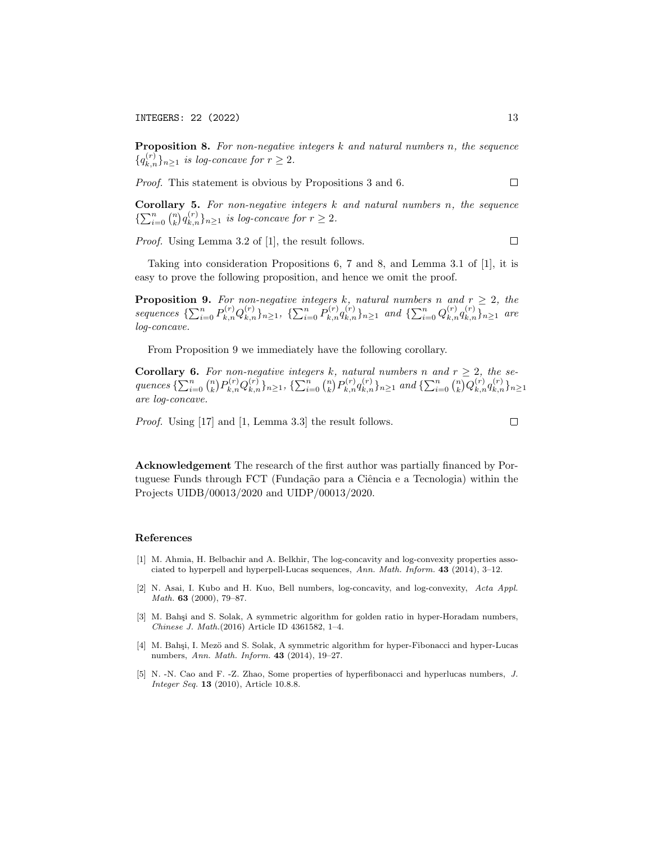**Proposition 8.** For non-negative integers  $k$  and natural numbers  $n$ , the sequence  ${q_{k,n}^{(r)}}_{n\geq 1}$  is log-concave for  $r\geq 2$ .

Proof. This statement is obvious by Propositions 3 and 6.  $\Box$ 

**Corollary 5.** For non-negative integers  $k$  and natural numbers  $n$ , the sequence  $\{\sum_{i=0}^{n} {n \choose k} q_{k,n}^{(r)}\}_{n\geq 1}$  is log-concave for  $r \geq 2$ .

Proof. Using Lemma 3.2 of [1], the result follows.

Taking into consideration Propositions 6, 7 and 8, and Lemma 3.1 of [1], it is easy to prove the following proposition, and hence we omit the proof.

**Proposition 9.** For non-negative integers k, natural numbers n and  $r \geq 2$ , the sequences  $\{\sum_{i=0}^{n} P_{k,n}^{(r)} Q_{k,n}^{(r)}\}_{n\geq 1}$ ,  $\{\sum_{i=0}^{n} P_{k,n}^{(r)} q_{k,n}^{(r)}\}_{n\geq 1}$  and  $\{\sum_{i=0}^{n} Q_{k,n}^{(r)} q_{k,n}^{(r)}\}_{n\geq 1}$  are log-concave.

From Proposition 9 we immediately have the following corollary.

**Corollary 6.** For non-negative integers k, natural numbers n and  $r \geq 2$ , the se- $\mathit{quences}\ \{\sum_{i=0}^n\binom{n}{k}P_{k,n}^{(r)}Q_{k,n}^{(r)}\}_{n\geq 1},\ \{\sum_{i=0}^n\binom{n}{k}P_{k,n}^{(r)}q_{k,n}^{(r)}\}_{n\geq 1}\ \mathit{and}\ \{\sum_{i=0}^n\binom{n}{k}Q_{k,n}^{(r)}q_{k,n}^{(r)}\}_{n\geq 1}$ are log-concave.

Proof. Using [17] and [1, Lemma 3.3] the result follows.

Acknowledgement The research of the first author was partially financed by Portuguese Funds through FCT (Fundação para a Ciência e a Tecnologia) within the Projects UIDB/00013/2020 and UIDP/00013/2020.

#### References

- [1] M. Ahmia, H. Belbachir and A. Belkhir, The log-concavity and log-convexity properties associated to hyperpell and hyperpell-Lucas sequences, Ann. Math. Inform. 43 (2014), 3–12.
- [2] N. Asai, I. Kubo and H. Kuo, Bell numbers, log-concavity, and log-convexity, Acta Appl. Math. 63 (2000), 79–87.
- [3] M. Bahşi and S. Solak, A symmetric algorithm for golden ratio in hyper-Horadam numbers, Chinese J. Math.(2016) Article ID 4361582, 1–4.
- [4] M. Bahşi, I. Mezö and S. Solak, A symmetric algorithm for hyper-Fibonacci and hyper-Lucas numbers, Ann. Math. Inform. 43 (2014), 19–27.
- [5] N. -N. Cao and F. -Z. Zhao, Some properties of hyperfibonacci and hyperlucas numbers, J. Integer Seq. **13** (2010), Article 10.8.8.

 $\Box$ 

 $\Box$